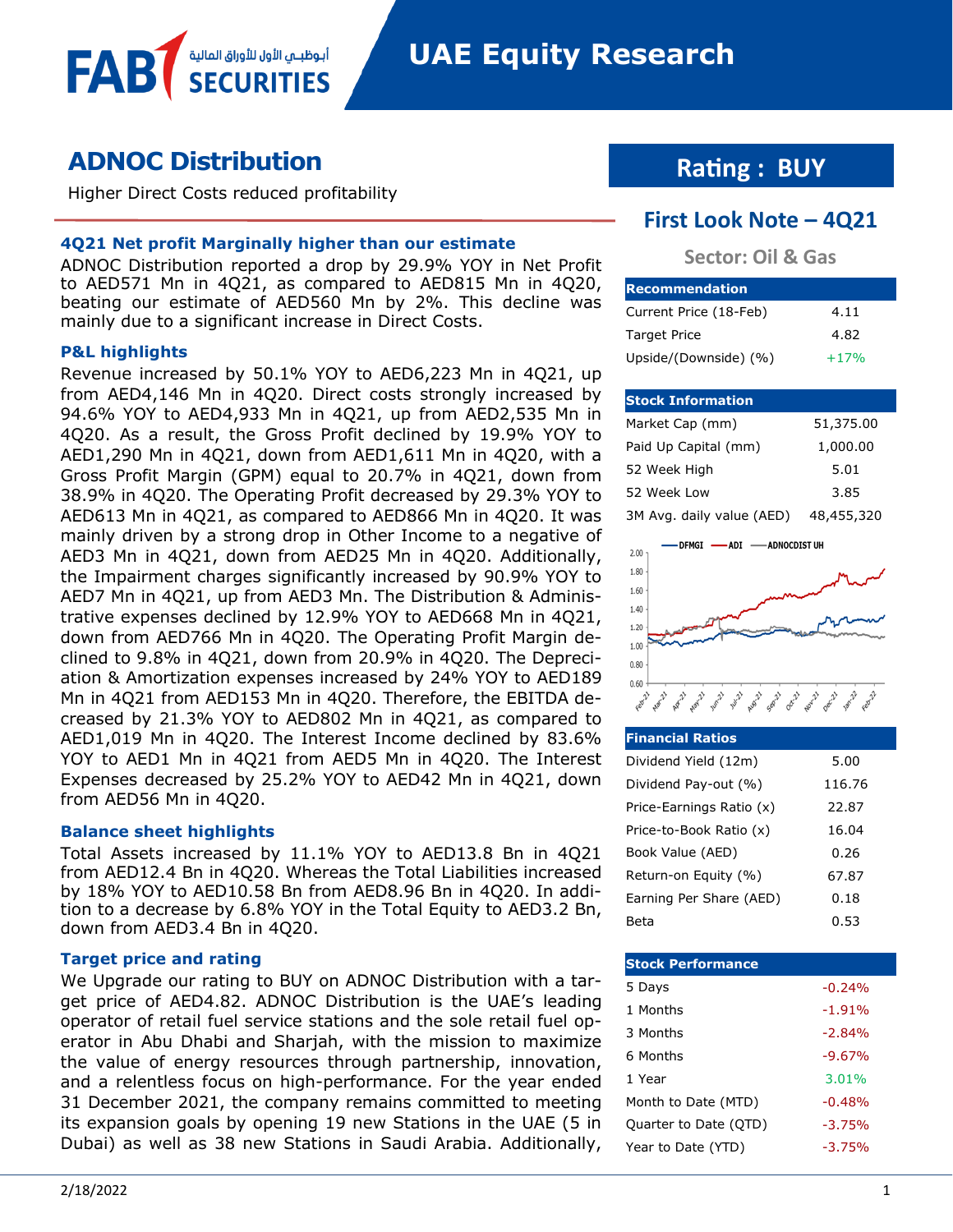# **ADNOC Distribution**

Higher Direct Costs reduced profitability

أبوظبــم الأول للأوراق المالية

### **4Q21 Net profit Marginally higher than our estimate**

ADNOC Distribution reported a drop by 29.9% YOY in Net Profit to AED571 Mn in 4Q21, as compared to AED815 Mn in 4Q20, beating our estimate of AED560 Mn by 2%. This decline was mainly due to a significant increase in Direct Costs.

### **P&L highlights**

FAB

Revenue increased by 50.1% YOY to AED6,223 Mn in 4Q21, up from AED4,146 Mn in 4Q20. Direct costs strongly increased by 94.6% YOY to AED4,933 Mn in 4Q21, up from AED2,535 Mn in 4Q20. As a result, the Gross Profit declined by 19.9% YOY to AED1,290 Mn in 4Q21, down from AED1,611 Mn in 4Q20, with a Gross Profit Margin (GPM) equal to 20.7% in 4Q21, down from 38.9% in 4Q20. The Operating Profit decreased by 29.3% YOY to AED613 Mn in 4Q21, as compared to AED866 Mn in 4Q20. It was mainly driven by a strong drop in Other Income to a negative of AED3 Mn in 4Q21, down from AED25 Mn in 4Q20. Additionally, the Impairment charges significantly increased by 90.9% YOY to AED7 Mn in 4Q21, up from AED3 Mn. The Distribution & Administrative expenses declined by 12.9% YOY to AED668 Mn in 4Q21, down from AED766 Mn in 4Q20. The Operating Profit Margin declined to 9.8% in 4Q21, down from 20.9% in 4Q20. The Depreciation & Amortization expenses increased by 24% YOY to AED189 Mn in 4Q21 from AED153 Mn in 4Q20. Therefore, the EBITDA decreased by 21.3% YOY to AED802 Mn in 4Q21, as compared to AED1,019 Mn in 4Q20. The Interest Income declined by 83.6% YOY to AED1 Mn in 4Q21 from AED5 Mn in 4Q20. The Interest Expenses decreased by 25.2% YOY to AED42 Mn in 4Q21, down from AED56 Mn in 4Q20.

#### **Balance sheet highlights**

Total Assets increased by 11.1% YOY to AED13.8 Bn in 4Q21 from AED12.4 Bn in 4Q20. Whereas the Total Liabilities increased by 18% YOY to AED10.58 Bn from AED8.96 Bn in 4Q20. In addition to a decrease by 6.8% YOY in the Total Equity to AED3.2 Bn, down from AED3.4 Bn in 4Q20.

### **Target price and rating**

We Upgrade our rating to BUY on ADNOC Distribution with a target price of AED4.82. ADNOC Distribution is the UAE's leading operator of retail fuel service stations and the sole retail fuel operator in Abu Dhabi and Sharjah, with the mission to maximize the value of energy resources through partnership, innovation, and a relentless focus on high-performance. For the year ended 31 December 2021, the company remains committed to meeting its expansion goals by opening 19 new Stations in the UAE (5 in Dubai) as well as 38 new Stations in Saudi Arabia. Additionally,

# **Rating : BUY**

### **First Look Note – 4Q21**

### **Sector: Oil & Gas**

| <b>Recommendation</b>  |        |
|------------------------|--------|
| Current Price (18-Feb) | 4.11   |
| <b>Target Price</b>    | 4.82   |
| Upside/(Downside) (%)  | $+17%$ |

#### **Stock Information**

| Market Cap (mm)           | 51,375.00  |
|---------------------------|------------|
| Paid Up Capital (mm)      | 1,000.00   |
| 52 Week High              | 5.01       |
| 52 Week Low               | 3.85       |
| 3M Avg. daily value (AED) | 48,455,320 |



| <b>Financial Ratios</b>  |        |
|--------------------------|--------|
| Dividend Yield (12m)     | 5.00   |
| Dividend Pay-out (%)     | 116.76 |
| Price-Earnings Ratio (x) | 22.87  |
| Price-to-Book Ratio (x)  | 16.04  |
| Book Value (AED)         | 0.26   |
| Return-on Equity (%)     | 67.87  |
| Earning Per Share (AED)  | 0.18   |
| Beta                     | 0.53   |

| <b>Stock Performance</b> |          |
|--------------------------|----------|
| 5 Days                   | $-0.24%$ |
| 1 Months                 | $-1.91%$ |
| 3 Months                 | $-2.84%$ |
| 6 Months                 | $-9.67%$ |
| 1 Year                   | 3.01%    |
| Month to Date (MTD)      | $-0.48%$ |
| Quarter to Date (QTD)    | $-3.75%$ |
| Year to Date (YTD)       | $-3.75%$ |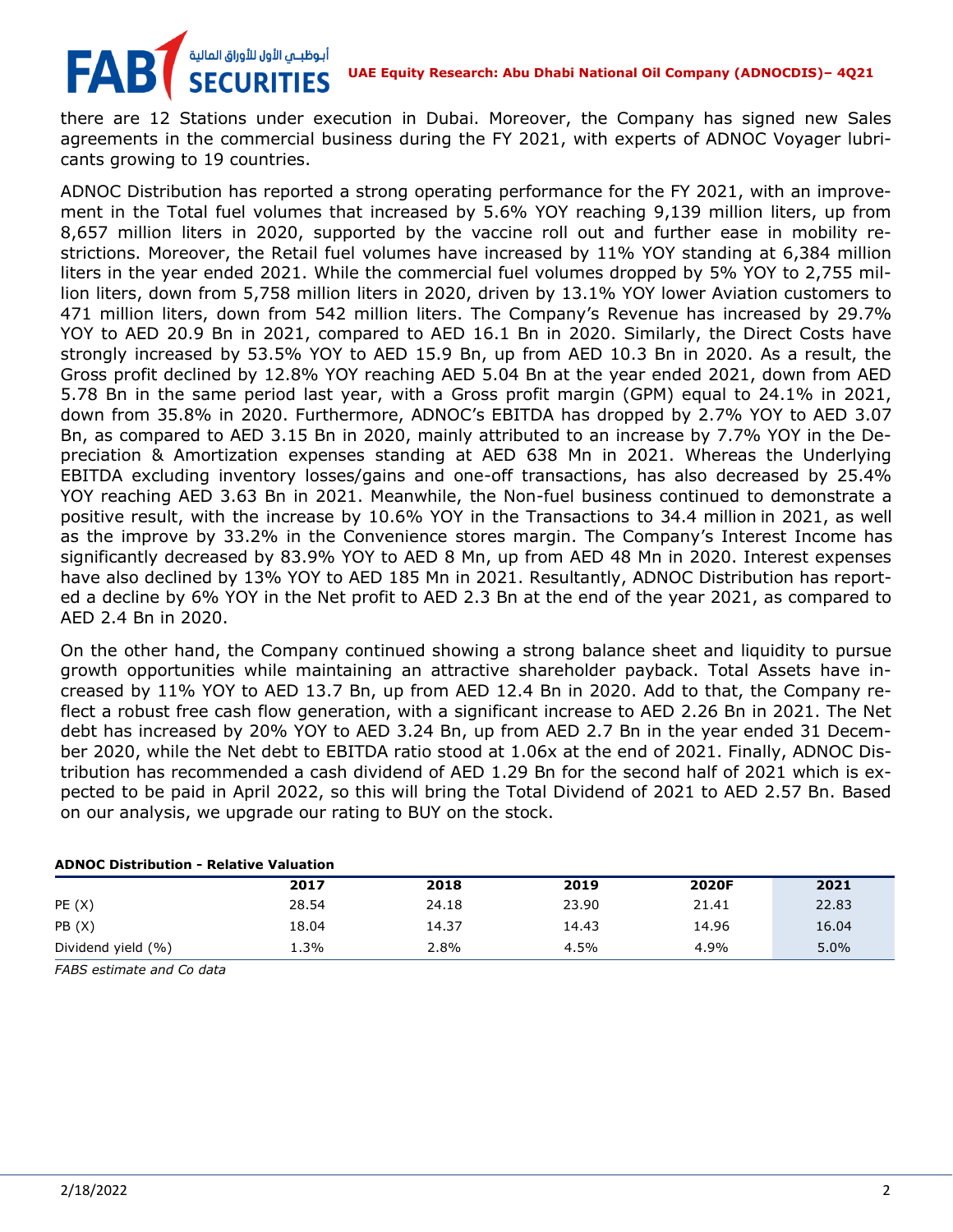## .<br>أبوظبــي الأول للأوراق المالية FAB **UAE Equity Research: Abu Dhabi National Oil Company (ADNOCDIS)– 4Q21**

there are 12 Stations under execution in Dubai. Moreover, the Company has signed new Sales agreements in the commercial business during the FY 2021, with experts of ADNOC Voyager lubricants growing to 19 countries.

ADNOC Distribution has reported a strong operating performance for the FY 2021, with an improvement in the Total fuel volumes that increased by 5.6% YOY reaching 9,139 million liters, up from 8,657 million liters in 2020, supported by the vaccine roll out and further ease in mobility restrictions. Moreover, the Retail fuel volumes have increased by 11% YOY standing at 6,384 million liters in the year ended 2021. While the commercial fuel volumes dropped by 5% YOY to 2,755 million liters, down from 5,758 million liters in 2020, driven by 13.1% YOY lower Aviation customers to 471 million liters, down from 542 million liters. The Company's Revenue has increased by 29.7% YOY to AED 20.9 Bn in 2021, compared to AED 16.1 Bn in 2020. Similarly, the Direct Costs have strongly increased by 53.5% YOY to AED 15.9 Bn, up from AED 10.3 Bn in 2020. As a result, the Gross profit declined by 12.8% YOY reaching AED 5.04 Bn at the year ended 2021, down from AED 5.78 Bn in the same period last year, with a Gross profit margin (GPM) equal to 24.1% in 2021, down from 35.8% in 2020. Furthermore, ADNOC's EBITDA has dropped by 2.7% YOY to AED 3.07 Bn, as compared to AED 3.15 Bn in 2020, mainly attributed to an increase by 7.7% YOY in the Depreciation & Amortization expenses standing at AED 638 Mn in 2021. Whereas the Underlying EBITDA excluding inventory losses/gains and one-off transactions, has also decreased by 25.4% YOY reaching AED 3.63 Bn in 2021. Meanwhile, the Non-fuel business continued to demonstrate a positive result, with the increase by 10.6% YOY in the Transactions to 34.4 million in 2021, as well as the improve by 33.2% in the Convenience stores margin. The Company's Interest Income has significantly decreased by 83.9% YOY to AED 8 Mn, up from AED 48 Mn in 2020. Interest expenses have also declined by 13% YOY to AED 185 Mn in 2021. Resultantly, ADNOC Distribution has reported a decline by 6% YOY in the Net profit to AED 2.3 Bn at the end of the year 2021, as compared to AED 2.4 Bn in 2020.

On the other hand, the Company continued showing a strong balance sheet and liquidity to pursue growth opportunities while maintaining an attractive shareholder payback. Total Assets have increased by 11% YOY to AED 13.7 Bn, up from AED 12.4 Bn in 2020. Add to that, the Company reflect a robust free cash flow generation, with a significant increase to AED 2.26 Bn in 2021. The Net debt has increased by 20% YOY to AED 3.24 Bn, up from AED 2.7 Bn in the year ended 31 December 2020, while the Net debt to EBITDA ratio stood at 1.06x at the end of 2021. Finally, ADNOC Distribution has recommended a cash dividend of AED 1.29 Bn for the second half of 2021 which is expected to be paid in April 2022, so this will bring the Total Dividend of 2021 to AED 2.57 Bn. Based on our analysis, we upgrade our rating to BUY on the stock.

| <b>ADNOC Distribution - Relative Valuation</b> |       |       |       |       |       |  |
|------------------------------------------------|-------|-------|-------|-------|-------|--|
|                                                | 2017  | 2018  | 2019  | 2020F | 2021  |  |
| PE(X)                                          | 28.54 | 24.18 | 23.90 | 21.41 | 22.83 |  |
| PB(X)                                          | 18.04 | 14.37 | 14.43 | 14.96 | 16.04 |  |
| Dividend yield (%)                             | 1.3%  | 2.8%  | 4.5%  | 4.9%  | 5.0%  |  |
|                                                |       |       |       |       |       |  |

*FABS estimate and Co data*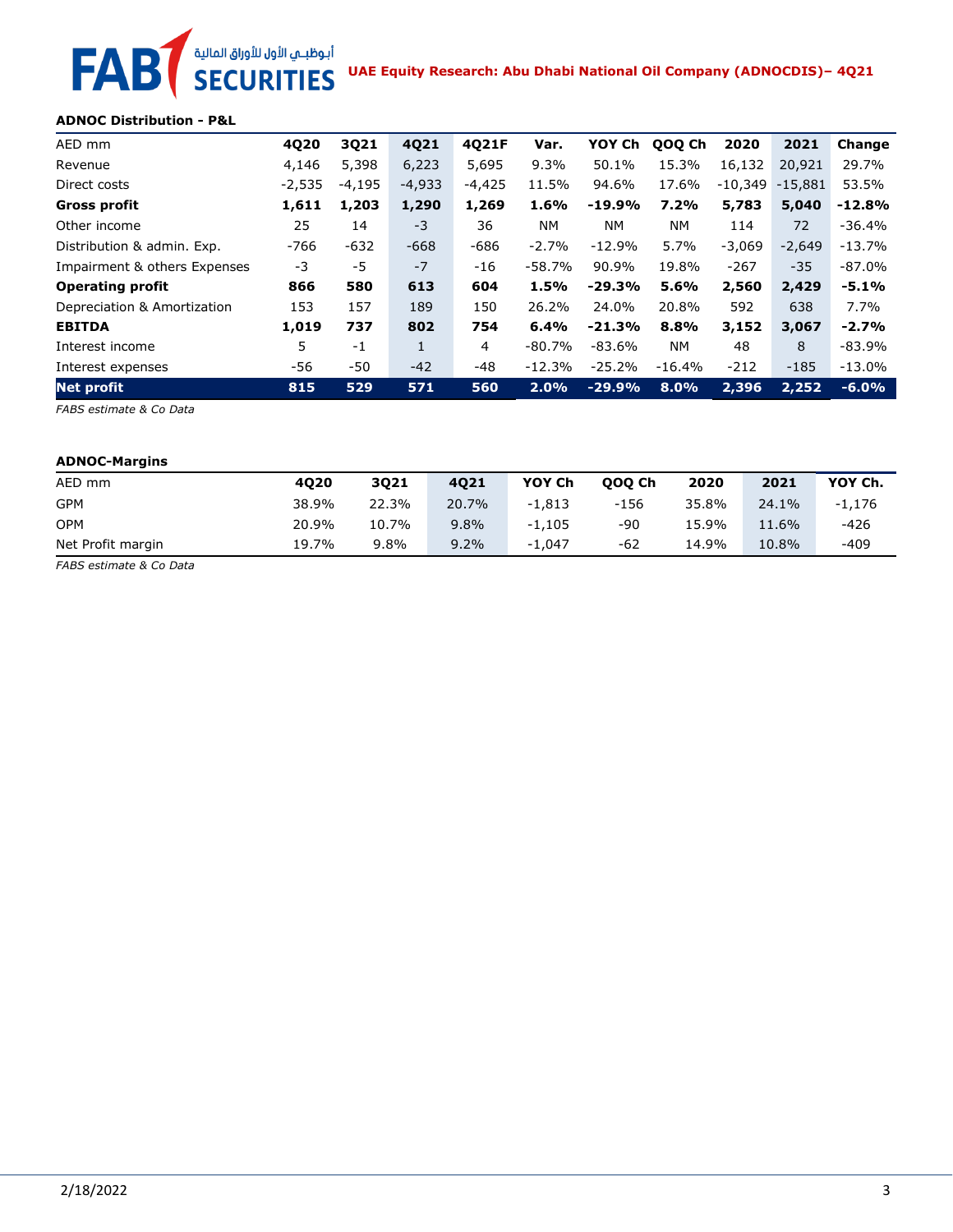# **UAE Equity Research: Abu Dhabi National Oil Company (ADNOCDIS)– 4Q21 FAB**

### **ADNOC Distribution - P&L**

| AED mm                       | 4Q20     | 3Q21     | 4Q21     | 4021F    | Var.      | YOY Ch    | QOQ Ch    | 2020      | 2021      | Change   |
|------------------------------|----------|----------|----------|----------|-----------|-----------|-----------|-----------|-----------|----------|
| Revenue                      | 4,146    | 5,398    | 6,223    | 5,695    | $9.3\%$   | 50.1%     | 15.3%     | 16,132    | 20,921    | 29.7%    |
| Direct costs                 | $-2,535$ | $-4,195$ | $-4,933$ | $-4,425$ | 11.5%     | 94.6%     | 17.6%     | $-10,349$ | $-15.881$ | 53.5%    |
| <b>Gross profit</b>          | 1,611    | 1,203    | 1,290    | 1,269    | 1.6%      | $-19.9%$  | 7.2%      | 5,783     | 5,040     | $-12.8%$ |
| Other income                 | 25       | 14       | $-3$     | 36       | <b>NM</b> | <b>NM</b> | <b>NM</b> | 114       | 72        | $-36.4%$ |
| Distribution & admin. Exp.   | $-766$   | $-632$   | $-668$   | $-686$   | $-2.7%$   | $-12.9%$  | 5.7%      | $-3,069$  | $-2,649$  | $-13.7%$ |
| Impairment & others Expenses | -3       | $-5$     | $-7$     | $-16$    | $-58.7%$  | 90.9%     | 19.8%     | $-267$    | $-35$     | $-87.0%$ |
| <b>Operating profit</b>      | 866      | 580      | 613      | 604      | 1.5%      | $-29.3%$  | 5.6%      | 2,560     | 2,429     | $-5.1%$  |
| Depreciation & Amortization  | 153      | 157      | 189      | 150      | 26.2%     | 24.0%     | 20.8%     | 592       | 638       | 7.7%     |
| <b>EBITDA</b>                | 1,019    | 737      | 802      | 754      | 6.4%      | $-21.3%$  | 8.8%      | 3,152     | 3,067     | $-2.7%$  |
| Interest income              | 5        | $-1$     | 1        | 4        | $-80.7%$  | $-83.6%$  | <b>NM</b> | 48        | 8         | $-83.9%$ |
| Interest expenses            | -56      | -50      | $-42$    | $-48$    | $-12.3%$  | $-25.2%$  | $-16.4%$  | $-212$    | $-185$    | $-13.0%$ |
| <b>Net profit</b>            | 815      | 529      | 571      | 560      | 2.0%      | $-29.9%$  | 8.0%      | 2,396     | 2,252     | $-6.0%$  |

*FABS estimate & Co Data*

### **ADNOC-Margins**

| AED mm            | 4020  | 3021  | 4021  | YOY Ch   | 000 Ch | 2020  | 2021  | YOY Ch.  |
|-------------------|-------|-------|-------|----------|--------|-------|-------|----------|
| <b>GPM</b>        | 38.9% | 22.3% | 20.7% | $-1.813$ | $-156$ | 35.8% | 24.1% | $-1,176$ |
| <b>OPM</b>        | 20.9% | 10.7% | 9.8%  | $-1.105$ | -90    | 15.9% | 11.6% | $-426$   |
| Net Profit margin | 19.7% | 9.8%  | 9.2%  | $-1.047$ | -62    | 14.9% | 10.8% | -409     |

*FABS estimate & Co Data*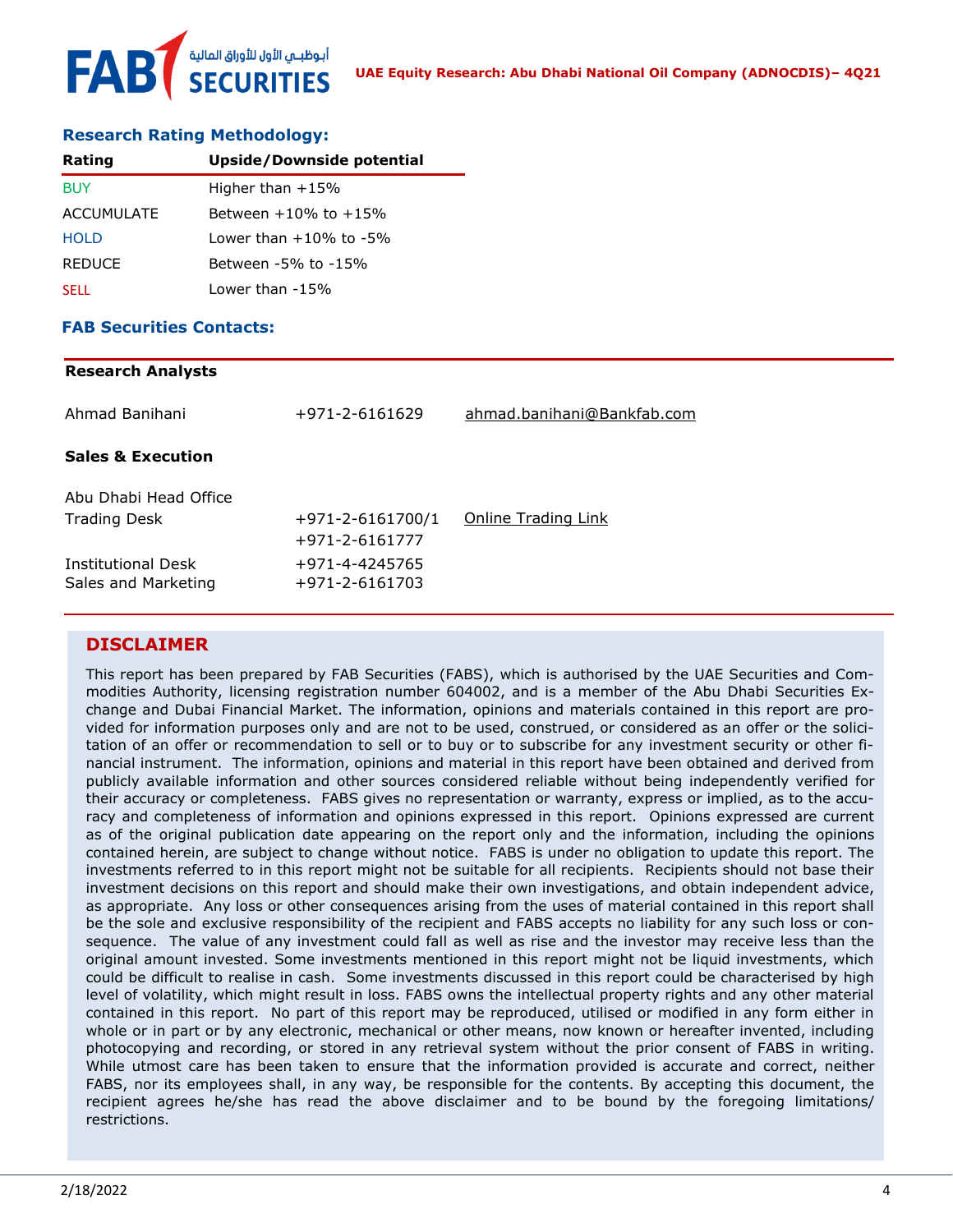### **Research Rating Methodology:**

| Rating            | Upside/Downside potential    |  |  |
|-------------------|------------------------------|--|--|
| <b>BUY</b>        | Higher than $+15%$           |  |  |
| <b>ACCUMULATE</b> | Between $+10\%$ to $+15\%$   |  |  |
| <b>HOLD</b>       | Lower than $+10\%$ to $-5\%$ |  |  |
| <b>REDUCE</b>     | Between -5% to -15%          |  |  |
| <b>SELL</b>       | Lower than $-15%$            |  |  |

### **FAB Securities Contacts:**

| +971-2-6161629                     | ahmad.banihani@Bankfab.com |
|------------------------------------|----------------------------|
|                                    |                            |
|                                    |                            |
| +971-2-6161700/1<br>+971-2-6161777 | Online Trading Link        |
| +971-4-4245765<br>+971-2-6161703   |                            |
|                                    |                            |

### **DISCLAIMER**

This report has been prepared by FAB Securities (FABS), which is authorised by the UAE Securities and Commodities Authority, licensing registration number 604002, and is a member of the Abu Dhabi Securities Exchange and Dubai Financial Market. The information, opinions and materials contained in this report are provided for information purposes only and are not to be used, construed, or considered as an offer or the solicitation of an offer or recommendation to sell or to buy or to subscribe for any investment security or other financial instrument. The information, opinions and material in this report have been obtained and derived from publicly available information and other sources considered reliable without being independently verified for their accuracy or completeness. FABS gives no representation or warranty, express or implied, as to the accuracy and completeness of information and opinions expressed in this report. Opinions expressed are current as of the original publication date appearing on the report only and the information, including the opinions contained herein, are subject to change without notice. FABS is under no obligation to update this report. The investments referred to in this report might not be suitable for all recipients. Recipients should not base their investment decisions on this report and should make their own investigations, and obtain independent advice, as appropriate. Any loss or other consequences arising from the uses of material contained in this report shall be the sole and exclusive responsibility of the recipient and FABS accepts no liability for any such loss or consequence. The value of any investment could fall as well as rise and the investor may receive less than the original amount invested. Some investments mentioned in this report might not be liquid investments, which could be difficult to realise in cash. Some investments discussed in this report could be characterised by high level of volatility, which might result in loss. FABS owns the intellectual property rights and any other material contained in this report. No part of this report may be reproduced, utilised or modified in any form either in whole or in part or by any electronic, mechanical or other means, now known or hereafter invented, including photocopying and recording, or stored in any retrieval system without the prior consent of FABS in writing. While utmost care has been taken to ensure that the information provided is accurate and correct, neither FABS, nor its employees shall, in any way, be responsible for the contents. By accepting this document, the recipient agrees he/she has read the above disclaimer and to be bound by the foregoing limitations/ restrictions.